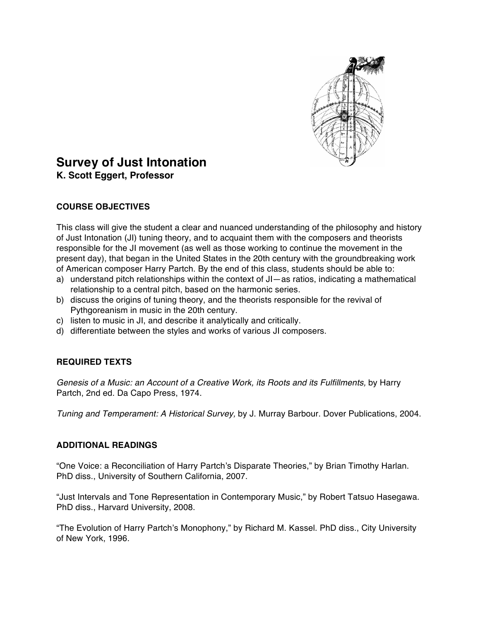

# **Survey of Just Intonation K. Scott Eggert, Professor**

# **COURSE OBJECTIVES**

This class will give the student a clear and nuanced understanding of the philosophy and history of Just Intonation (JI) tuning theory, and to acquaint them with the composers and theorists responsible for the JI movement (as well as those working to continue the movement in the present day), that began in the United States in the 20th century with the groundbreaking work of American composer Harry Partch. By the end of this class, students should be able to:

- a) understand pitch relationships within the context of JI—as ratios, indicating a mathematical relationship to a central pitch, based on the harmonic series.
- b) discuss the origins of tuning theory, and the theorists responsible for the revival of Pythgoreanism in music in the 20th century.
- c) listen to music in JI, and describe it analytically and critically.
- d) differentiate between the styles and works of various JI composers.

# **REQUIRED TEXTS**

*Genesis of a Music: an Account of a Creative Work, its Roots and its Fulfillments,* by Harry Partch, 2nd ed. Da Capo Press, 1974.

*Tuning and Temperament: A Historical Survey,* by J. Murray Barbour. Dover Publications, 2004.

## **ADDITIONAL READINGS**

"One Voice: a Reconciliation of Harry Partch's Disparate Theories," by Brian Timothy Harlan. PhD diss., University of Southern California, 2007.

"Just Intervals and Tone Representation in Contemporary Music," by Robert Tatsuo Hasegawa. PhD diss., Harvard University, 2008.

"The Evolution of Harry Partch's Monophony," by Richard M. Kassel. PhD diss., City University of New York, 1996.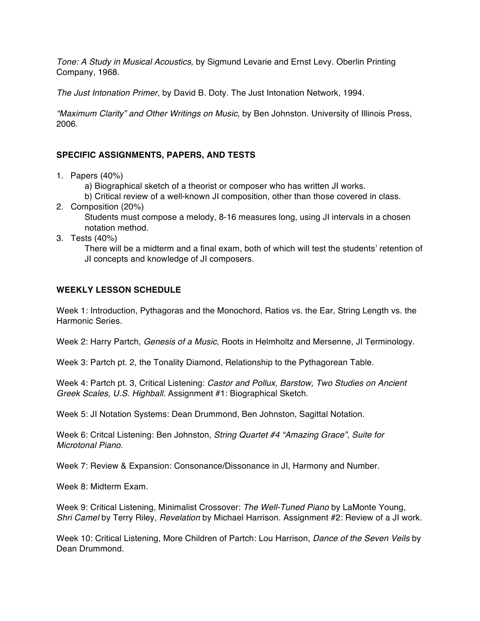*Tone: A Study in Musical Acoustics,* by Sigmund Levarie and Ernst Levy. Oberlin Printing Company, 1968.

*The Just Intonation Primer*, by David B. Doty. The Just Intonation Network, 1994.

*"Maximum Clarity" and Other Writings on Music,* by Ben Johnston. University of Illinois Press, 2006.

#### **SPECIFIC ASSIGNMENTS, PAPERS, AND TESTS**

1. Papers (40%)

a) Biographical sketch of a theorist or composer who has written JI works.

b) Critical review of a well-known JI composition, other than those covered in class.

2. Composition (20%)

Students must compose a melody, 8-16 measures long, using JI intervals in a chosen notation method.

3. Tests (40%)

There will be a midterm and a final exam, both of which will test the students' retention of JI concepts and knowledge of JI composers.

## **WEEKLY LESSON SCHEDULE**

Week 1: Introduction, Pythagoras and the Monochord, Ratios vs. the Ear, String Length vs. the Harmonic Series.

Week 2: Harry Partch, *Genesis of a Music,* Roots in Helmholtz and Mersenne, JI Terminology.

Week 3: Partch pt. 2, the Tonality Diamond, Relationship to the Pythagorean Table.

Week 4: Partch pt. 3, Critical Listening: *Castor and Pollux, Barstow, Two Studies on Ancient Greek Scales, U.S. Highball.* Assignment #1: Biographical Sketch.

Week 5: JI Notation Systems: Dean Drummond, Ben Johnston, Sagittal Notation.

Week 6: Critcal Listening: Ben Johnston, *String Quartet #4 "Amazing Grace", Suite for Microtonal Piano.*

Week 7: Review & Expansion: Consonance/Dissonance in JI, Harmony and Number.

Week 8: Midterm Exam.

Week 9: Critical Listening, Minimalist Crossover: *The Well-Tuned Piano* by LaMonte Young, *Shri Camel* by Terry Riley, *Revelation* by Michael Harrison. Assignment #2: Review of a JI work.

Week 10: Critical Listening, More Children of Partch: Lou Harrison, *Dance of the Seven Veils* by Dean Drummond.